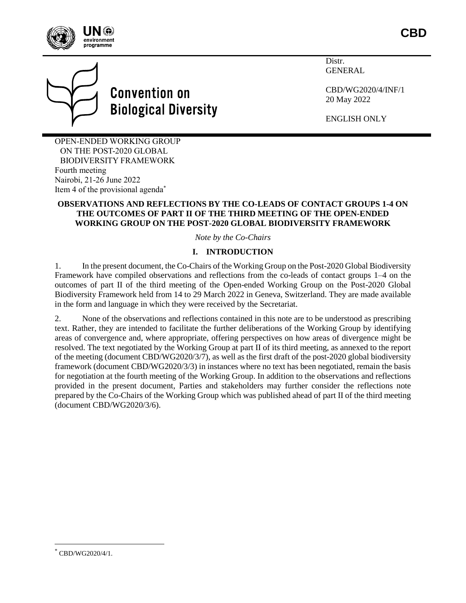

**CBD**



# **Convention on Biological Diversity**

Distr. **GENERAL** 

CBD/WG2020/4/INF/1 20 May 2022

ENGLISH ONLY

OPEN-ENDED WORKING GROUP ON THE POST-2020 GLOBAL BIODIVERSITY FRAMEWORK Fourth meeting Nairobi, 21-26 June 2022 Item 4 of the provisional agenda\*

# **OBSERVATIONS AND REFLECTIONS BY THE CO-LEADS OF CONTACT GROUPS 1-4 ON THE OUTCOMES OF PART II OF THE THIRD MEETING OF THE OPEN-ENDED WORKING GROUP ON THE POST-2020 GLOBAL BIODIVERSITY FRAMEWORK**

*Note by the Co-Chairs*

# **I. INTRODUCTION**

1. In the present document, the Co-Chairs of the Working Group on the Post-2020 Global Biodiversity Framework have compiled observations and reflections from the co-leads of contact groups 1–4 on the outcomes of part II of the third meeting of the Open-ended Working Group on the Post-2020 Global Biodiversity Framework held from 14 to 29 March 2022 in Geneva, Switzerland. They are made available in the form and language in which they were received by the Secretariat.

2. None of the observations and reflections contained in this note are to be understood as prescribing text. Rather, they are intended to facilitate the further deliberations of the Working Group by identifying areas of convergence and, where appropriate, offering perspectives on how areas of divergence might be resolved. The text negotiated by the Working Group at part II of its third meeting, as annexed to the report of the meeting (document CBD/WG2020/3/7), as well as the first draft of the post-2020 global biodiversity framework (document CBD/WG2020/3/3) in instances where no text has been negotiated, remain the basis for negotiation at the fourth meeting of the Working Group. In addition to the observations and reflections provided in the present document, Parties and stakeholders may further consider the reflections note prepared by the Co-Chairs of the Working Group which was published ahead of part II of the third meeting (document CBD/WG2020/3/6).

 $\overline{a}$ 

<sup>\*</sup> CBD/WG2020/4/1.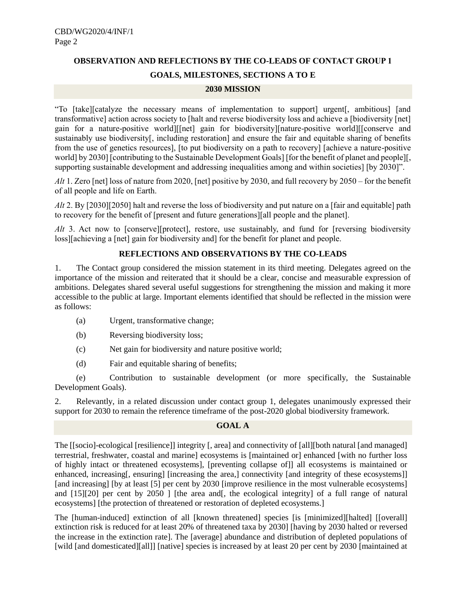# **OBSERVATION AND REFLECTIONS BY THE CO-LEADS OF CONTACT GROUP 1 GOALS, MILESTONES, SECTIONS A TO E**

#### **2030 MISSION**

"To [take][catalyze the necessary means of implementation to support] urgent[, ambitious] [and transformative] action across society to [halt and reverse biodiversity loss and achieve a [biodiversity [net] gain for a nature-positive world][[net] gain for biodiversity][nature-positive world][[conserve and sustainably use biodiversity[, including restoration] and ensure the fair and equitable sharing of benefits from the use of genetics resources], [to put biodiversity on a path to recovery] [achieve a nature-positive world] by 2030] [contributing to the Sustainable Development Goals] [for the benefit of planet and people][, supporting sustainable development and addressing inequalities among and within societies] [by 2030]".

*Alt* 1. Zero [net] loss of nature from 2020, [net] positive by 2030, and full recovery by 2050 – for the benefit of all people and life on Earth.

*Alt* 2. By [2030][2050] halt and reverse the loss of biodiversity and put nature on a [fair and equitable] path to recovery for the benefit of [present and future generations][all people and the planet].

*Alt* 3. Act now to [conserve][protect], restore, use sustainably, and fund for [reversing biodiversity loss][achieving a [net] gain for biodiversity and] for the benefit for planet and people.

# **REFLECTIONS AND OBSERVATIONS BY THE CO-LEADS**

1. The Contact group considered the mission statement in its third meeting. Delegates agreed on the importance of the mission and reiterated that it should be a clear, concise and measurable expression of ambitions. Delegates shared several useful suggestions for strengthening the mission and making it more accessible to the public at large. Important elements identified that should be reflected in the mission were as follows:

- (a) Urgent, transformative change;
- (b) Reversing biodiversity loss;
- (c) Net gain for biodiversity and nature positive world;
- (d) Fair and equitable sharing of benefits;

(e) Contribution to sustainable development (or more specifically, the Sustainable Development Goals).

2. Relevantly, in a related discussion under contact group 1, delegates unanimously expressed their support for 2030 to remain the reference timeframe of the post-2020 global biodiversity framework.

## **GOAL A**

The [[socio]-ecological [resilience]] integrity [, area] and connectivity of [all][both natural [and managed] terrestrial, freshwater, coastal and marine] ecosystems is [maintained or] enhanced [with no further loss of highly intact or threatened ecosystems], [preventing collapse of]] all ecosystems is maintained or enhanced, increasing[, ensuring] [increasing the area,] connectivity [and integrity of these ecosystems]] [and increasing] [by at least [5] per cent by 2030 [improve resilience in the most vulnerable ecosystems] and [15][20] per cent by 2050 ] [the area and ], the ecological integrity] of a full range of natural ecosystems] [the protection of threatened or restoration of depleted ecosystems.]

The [human-induced] extinction of all [known threatened] species [is [minimized][halted] [[overall] extinction risk is reduced for at least 20% of threatened taxa by 2030] [having by 2030 halted or reversed the increase in the extinction rate]. The [average] abundance and distribution of depleted populations of [wild [and domesticated][all]] [native] species is increased by at least 20 per cent by 2030 [maintained at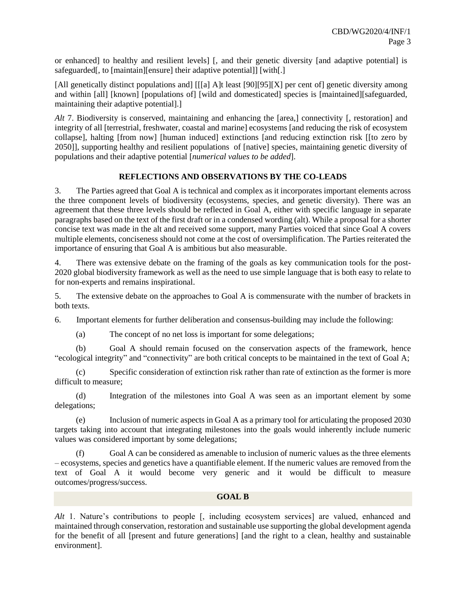or enhanced] to healthy and resilient levels] [, and their genetic diversity [and adaptive potential] is safeguarded[, to [maintain][ensure] their adaptive potential]] [with[.]

[All genetically distinct populations and] [[[a] A]t least [90][95][X] per cent of] genetic diversity among and within [all] [known] [populations of] [wild and domesticated] species is [maintained][safeguarded, maintaining their adaptive potential].]

*Alt* 7. Biodiversity is conserved, maintaining and enhancing the [area,] connectivity [, restoration] and integrity of all [terrestrial, freshwater, coastal and marine] ecosystems [and reducing the risk of ecosystem collapse], halting [from now] [human induced] extinctions [and reducing extinction risk [[to zero by 2050]], supporting healthy and resilient populations of [native] species, maintaining genetic diversity of populations and their adaptive potential [*numerical values to be added*].

# **REFLECTIONS AND OBSERVATIONS BY THE CO-LEADS**

3. The Parties agreed that Goal A is technical and complex as it incorporates important elements across the three component levels of biodiversity (ecosystems, species, and genetic diversity). There was an agreement that these three levels should be reflected in Goal A, either with specific language in separate paragraphs based on the text of the first draft or in a condensed wording (alt). While a proposal for a shorter concise text was made in the alt and received some support, many Parties voiced that since Goal A covers multiple elements, conciseness should not come at the cost of oversimplification. The Parties reiterated the importance of ensuring that Goal A is ambitious but also measurable.

4. There was extensive debate on the framing of the goals as key communication tools for the post-2020 global biodiversity framework as well as the need to use simple language that is both easy to relate to for non-experts and remains inspirational.

5. The extensive debate on the approaches to Goal A is commensurate with the number of brackets in both texts.

6. Important elements for further deliberation and consensus-building may include the following:

(a) The concept of no net loss is important for some delegations;

(b) Goal A should remain focused on the conservation aspects of the framework, hence "ecological integrity" and "connectivity" are both critical concepts to be maintained in the text of Goal A;

(c) Specific consideration of extinction risk rather than rate of extinction as the former is more difficult to measure;

(d) Integration of the milestones into Goal A was seen as an important element by some delegations;

(e) Inclusion of numeric aspects in Goal A as a primary tool for articulating the proposed 2030 targets taking into account that integrating milestones into the goals would inherently include numeric values was considered important by some delegations;

(f) Goal A can be considered as amenable to inclusion of numeric values as the three elements – ecosystems, species and genetics have a quantifiable element. If the numeric values are removed from the text of Goal A it would become very generic and it would be difficult to measure outcomes/progress/success.

#### **GOAL B**

*Alt* 1. Nature's contributions to people [, including ecosystem services] are valued, enhanced and maintained through conservation, restoration and sustainable use supporting the global development agenda for the benefit of all [present and future generations] [and the right to a clean, healthy and sustainable environment].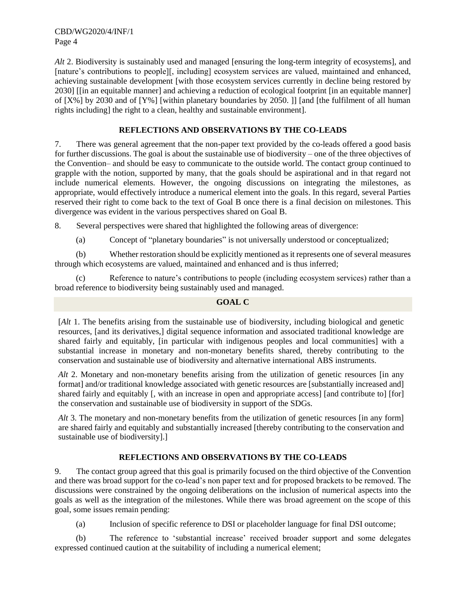CBD/WG2020/4/INF/1 Page 4

*Alt* 2. Biodiversity is sustainably used and managed [ensuring the long-term integrity of ecosystems], and [nature's contributions to people][, including] ecosystem services are valued, maintained and enhanced, achieving sustainable development [with those ecosystem services currently in decline being restored by 2030] [[in an equitable manner] and achieving a reduction of ecological footprint [in an equitable manner] of [X%] by 2030 and of [Y%] [within planetary boundaries by 2050. ]] [and [the fulfilment of all human rights including] the right to a clean, healthy and sustainable environment].

# **REFLECTIONS AND OBSERVATIONS BY THE CO-LEADS**

7. There was general agreement that the non-paper text provided by the co-leads offered a good basis for further discussions. The goal is about the sustainable use of biodiversity – one of the three objectives of the Convention– and should be easy to communicate to the outside world. The contact group continued to grapple with the notion, supported by many, that the goals should be aspirational and in that regard not include numerical elements. However, the ongoing discussions on integrating the milestones, as appropriate, would effectively introduce a numerical element into the goals. In this regard, several Parties reserved their right to come back to the text of Goal B once there is a final decision on milestones. This divergence was evident in the various perspectives shared on Goal B.

8. Several perspectives were shared that highlighted the following areas of divergence:

(a) Concept of "planetary boundaries" is not universally understood or conceptualized;

(b) Whether restoration should be explicitly mentioned as it represents one of several measures through which ecosystems are valued, maintained and enhanced and is thus inferred;

(c) Reference to nature's contributions to people (including ecosystem services) rather than a broad reference to biodiversity being sustainably used and managed.

# **GOAL C**

[*Alt* 1. The benefits arising from the sustainable use of biodiversity, including biological and genetic resources, [and its derivatives,] digital sequence information and associated traditional knowledge are shared fairly and equitably, [in particular with indigenous peoples and local communities] with a substantial increase in monetary and non-monetary benefits shared, thereby contributing to the conservation and sustainable use of biodiversity and alternative international ABS instruments.

*Alt* 2. Monetary and non-monetary benefits arising from the utilization of genetic resources [in any format] and/or traditional knowledge associated with genetic resources are [substantially increased and] shared fairly and equitably [, with an increase in open and appropriate access] [and contribute to] [for] the conservation and sustainable use of biodiversity in support of the SDGs.

*Alt* 3. The monetary and non-monetary benefits from the utilization of genetic resources [in any form] are shared fairly and equitably and substantially increased [thereby contributing to the conservation and sustainable use of biodiversity].]

# **REFLECTIONS AND OBSERVATIONS BY THE CO-LEADS**

9. The contact group agreed that this goal is primarily focused on the third objective of the Convention and there was broad support for the co-lead's non paper text and for proposed brackets to be removed. The discussions were constrained by the ongoing deliberations on the inclusion of numerical aspects into the goals as well as the integration of the milestones. While there was broad agreement on the scope of this goal, some issues remain pending:

(a) Inclusion of specific reference to DSI or placeholder language for final DSI outcome;

(b) The reference to 'substantial increase' received broader support and some delegates expressed continued caution at the suitability of including a numerical element;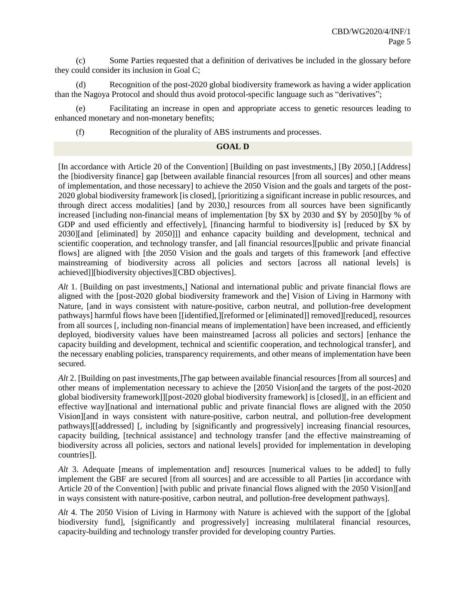(c) Some Parties requested that a definition of derivatives be included in the glossary before they could consider its inclusion in Goal C;

(d) Recognition of the post-2020 global biodiversity framework as having a wider application than the Nagoya Protocol and should thus avoid protocol-specific language such as "derivatives";

(e) Facilitating an increase in open and appropriate access to genetic resources leading to enhanced monetary and non-monetary benefits;

(f) Recognition of the plurality of ABS instruments and processes.

## **GOAL D**

[In accordance with Article 20 of the Convention] [Building on past investments,] [By 2050,] [Address] the [biodiversity finance] gap [between available financial resources [from all sources] and other means of implementation, and those necessary] to achieve the 2050 Vision and the goals and targets of the post-2020 global biodiversity framework [is closed], [prioritizing a significant increase in public resources, and through direct access modalities] [and by 2030,] resources from all sources have been significantly increased [including non-financial means of implementation [by \$X by 2030 and \$Y by 2050][by % of GDP and used efficiently and effectively], [financing harmful to biodiversity is] [reduced by \$X by 2030][and [eliminated] by 2050]]] and enhance capacity building and development, technical and scientific cooperation, and technology transfer, and [all financial resources][public and private financial flows] are aligned with [the 2050 Vision and the goals and targets of this framework [and effective mainstreaming of biodiversity across all policies and sectors [across all national levels] is achieved]][biodiversity objectives][CBD objectives].

*Alt* 1. [Building on past investments,] National and international public and private financial flows are aligned with the [post-2020 global biodiversity framework and the] Vision of Living in Harmony with Nature, [and in ways consistent with nature-positive, carbon neutral, and pollution-free development pathways] harmful flows have been [[identified,][reformed or [eliminated]] removed][reduced], resources from all sources [, including non-financial means of implementation] have been increased, and efficiently deployed, biodiversity values have been mainstreamed [across all policies and sectors] [enhance the capacity building and development, technical and scientific cooperation, and technological transfer], and the necessary enabling policies, transparency requirements, and other means of implementation have been secured.

*Alt* 2. [Building on past investments,]The gap between available financial resources [from all sources] and other means of implementation necessary to achieve the [2050 Vision[and the targets of the post-2020 global biodiversity framework]][post-2020 global biodiversity framework] is [closed][, in an efficient and effective way][national and international public and private financial flows are aligned with the 2050 Vision][and in ways consistent with nature-positive, carbon neutral, and pollution-free development pathways][[addressed] [, including by [significantly and progressively] increasing financial resources, capacity building, [technical assistance] and technology transfer [and the effective mainstreaming of biodiversity across all policies, sectors and national levels] provided for implementation in developing countries]].

Alt 3. Adequate [means of implementation and] resources [numerical values to be added] to fully implement the GBF are secured [from all sources] and are accessible to all Parties [in accordance with Article 20 of the Convention] [with public and private financial flows aligned with the 2050 Vision][and in ways consistent with nature-positive, carbon neutral, and pollution-free development pathways].

*Alt* 4. The 2050 Vision of Living in Harmony with Nature is achieved with the support of the [global biodiversity fund], [significantly and progressively] increasing multilateral financial resources, capacity-building and technology transfer provided for developing country Parties.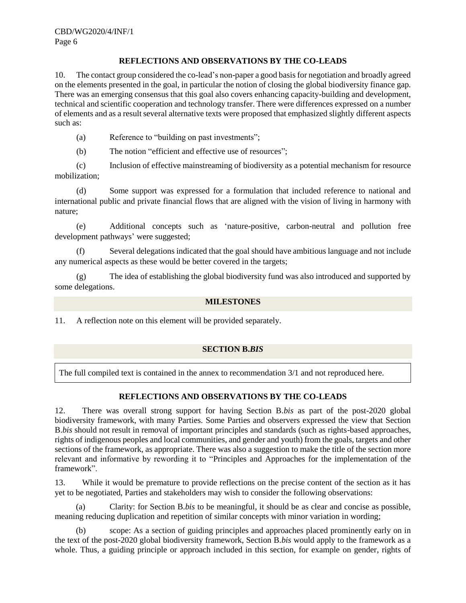# **REFLECTIONS AND OBSERVATIONS BY THE CO-LEADS**

10. The contact group considered the co-lead's non-paper a good basis for negotiation and broadly agreed on the elements presented in the goal, in particular the notion of closing the global biodiversity finance gap. There was an emerging consensus that this goal also covers enhancing capacity-building and development, technical and scientific cooperation and technology transfer. There were differences expressed on a number of elements and as a result several alternative texts were proposed that emphasized slightly different aspects such as:

(a) Reference to "building on past investments";

(b) The notion "efficient and effective use of resources";

(c) Inclusion of effective mainstreaming of biodiversity as a potential mechanism for resource mobilization;

(d) Some support was expressed for a formulation that included reference to national and international public and private financial flows that are aligned with the vision of living in harmony with nature;

(e) Additional concepts such as 'nature-positive, carbon-neutral and pollution free development pathways' were suggested;

(f) Several delegations indicated that the goal should have ambitious language and not include any numerical aspects as these would be better covered in the targets;

(g) The idea of establishing the global biodiversity fund was also introduced and supported by some delegations.

# **MILESTONES**

11. A reflection note on this element will be provided separately.

# **SECTION B.***BIS*

The full compiled text is contained in the annex to recommendation 3/1 and not reproduced here.

# **REFLECTIONS AND OBSERVATIONS BY THE CO-LEADS**

12. There was overall strong support for having Section B.*bis* as part of the post-2020 global biodiversity framework, with many Parties. Some Parties and observers expressed the view that Section B.*bis* should not result in removal of important principles and standards (such as rights-based approaches, rights of indigenous peoples and local communities, and gender and youth) from the goals, targets and other sections of the framework, as appropriate. There was also a suggestion to make the title of the section more relevant and informative by rewording it to "Principles and Approaches for the implementation of the framework".

13. While it would be premature to provide reflections on the precise content of the section as it has yet to be negotiated, Parties and stakeholders may wish to consider the following observations:

(a) Clarity: for Section B.*bis* to be meaningful, it should be as clear and concise as possible, meaning reducing duplication and repetition of similar concepts with minor variation in wording;

(b) scope: As a section of guiding principles and approaches placed prominently early on in the text of the post-2020 global biodiversity framework, Section B.*bis* would apply to the framework as a whole. Thus, a guiding principle or approach included in this section, for example on gender, rights of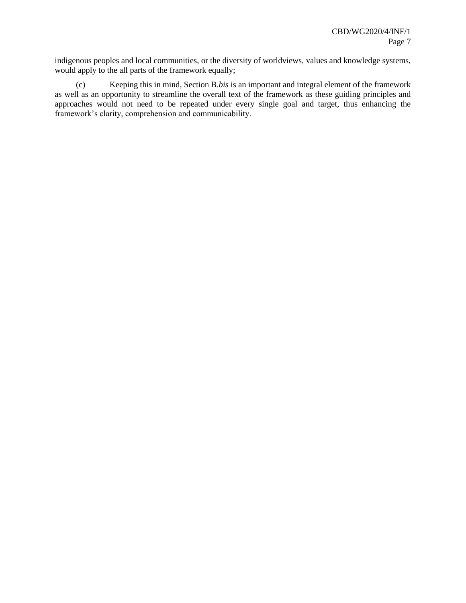indigenous peoples and local communities, or the diversity of worldviews, values and knowledge systems, would apply to the all parts of the framework equally;

(c) Keeping this in mind, Section B.*bis* is an important and integral element of the framework as well as an opportunity to streamline the overall text of the framework as these guiding principles and approaches would not need to be repeated under every single goal and target, thus enhancing the framework's clarity, comprehension and communicability.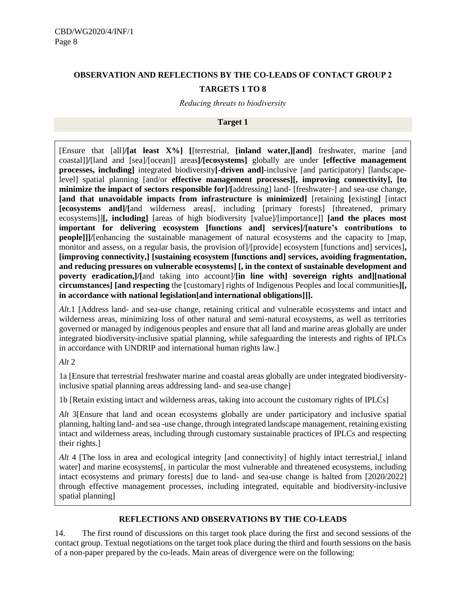# **OBSERVATION AND REFLECTIONS BY THE CO-LEADS OF CONTACT GROUP 2 TARGETS 1 TO 8**

*Reducing threats to biodiversity*

## **Target 1**

[Ensure that [all]**/[at least X%] [**[terrestrial, **[inland water,][and]** freshwater, marine [and coastal]]**/**[land and [sea]/[ocean]] areas**]/[ecosystems]** globally are under **[effective management processes, including]** integrated biodiversity**[-driven and]**-inclusive [and participatory] [landscapelevel] spatial planning [and/or **effective management processes][, improving connectivity], [to minimize the impact of sectors responsible for]/[**addressing] land- [freshwater-] and sea-use change, **[and that unavoidable impacts from infrastructure is minimized]** [retaining **[**existing**]** [intact **[ecosystems and]/[**and wilderness areas[, including [primary forests] [threatened, primary ecosystems]]**[, including]** [areas of high biodiversity [value]/[importance]] **[and the places most important for delivering ecosystem [functions and] services]/[nature's contributions to people]]**/[enhancing the sustainable management of natural ecosystems and the capacity to [map, monitor and assess, on a regular basis, the provision of]/[provide] ecosystem [functions and] services]**, [improving connectivity,] [sustaining ecosystem [functions and] services, avoiding fragmentation, and reducing pressures on vulnerable ecosystems] [, in the context of sustainable development and poverty eradication,]/[**and taking into account]/**[in line with] sovereign rights and][national circumstances] [and respecting** the [customary] rights of Indigenous Peoples and local communities**][, in accordance with national legislation[and international obligations]]].**

*Alt*.1 [Address land- and sea-use change, retaining critical and vulnerable ecosystems and intact and wilderness areas, minimizing loss of other natural and semi-natural ecosystems, as well as territories governed or managed by indigenous peoples and ensure that all land and marine areas globally are under integrated biodiversity-inclusive spatial planning, while safeguarding the interests and rights of IPLCs in accordance with UNDRIP and international human rights law.]

# *Alt* 2

1a [Ensure that terrestrial freshwater marine and coastal areas globally are under integrated biodiversityinclusive spatial planning areas addressing land- and sea-use change]

1b [Retain existing intact and wilderness areas, taking into account the customary rights of IPLCs]

*Alt* 3[Ensure that land and ocean ecosystems globally are under participatory and inclusive spatial planning, halting land- and sea -use change, through integrated landscape management, retaining existing intact and wilderness areas, including through customary sustainable practices of IPLCs and respecting their rights.]

Alt 4 [The loss in area and ecological integrity [and connectivity] of highly intact terrestrial, [ inland water] and marine ecosystems[, in particular the most vulnerable and threatened ecosystems, including intact ecosystems and primary forests] due to land- and sea-use change is halted from [2020/2022] through effective management processes, including integrated, equitable and biodiversity-inclusive spatial planning]

# **REFLECTIONS AND OBSERVATIONS BY THE CO-LEADS**

14. The first round of discussions on this target took place during the first and second sessions of the contact group. Textual negotiations on the target took place during the third and fourth sessions on the basis of a non-paper prepared by the co-leads. Main areas of divergence were on the following: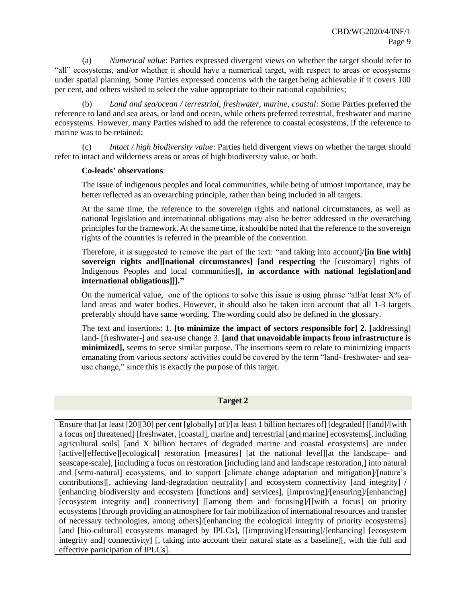(a) *Numerical value*: Parties expressed divergent views on whether the target should refer to "all" ecosystems, and/or whether it should have a numerical target, with respect to areas or ecosystems under spatial planning. Some Parties expressed concerns with the target being achievable if it covers 100 per cent, and others wished to select the value appropriate to their national capabilities;

(b) *Land and sea/ocean / terrestrial, freshwater, marine, coastal*: Some Parties preferred the reference to land and sea areas, or land and ocean, while others preferred terrestrial, freshwater and marine ecosystems. However, many Parties wished to add the reference to coastal ecosystems, if the reference to marine was to be retained;

(c) *Intact / high biodiversity value*: Parties held divergent views on whether the target should refer to intact and wilderness areas or areas of high biodiversity value, or both.

#### **Co-leads' observations**:

The issue of indigenous peoples and local communities, while being of utmost importance, may be better reflected as an overarching principle, rather than being included in all targets.

At the same time, the reference to the sovereign rights and national circumstances, as well as national legislation and international obligations may also be better addressed in the overarching principles for the framework. At the same time, it should be noted that the reference to the sovereign rights of the countries is referred in the preamble of the convention.

Therefore, it is suggested to remove the part of the text: "and taking into account]/**[in line with] sovereign rights and][national circumstances] [and respecting** the [customary] rights of Indigenous Peoples and local communities**][, in accordance with national legislation[and international obligations]]]."**

On the numerical value, one of the options to solve this issue is using phrase "all/at least  $X\%$  of land areas and water bodies. However, it should also be taken into account that all 1-3 targets preferably should have same wording. The wording could also be defined in the glossary.

The text and insertions: 1. **[to minimize the impact of sectors responsible for] 2. [**addressing] land- [freshwater-] and sea-use change 3. **[and that unavoidable impacts from infrastructure is minimized],** seems to serve similar purpose. The insertions seem to relate to minimizing impacts emanating from various sectors/ activities could be covered by the term "land- freshwater- and seause change," since this is exactly the purpose of this target.

#### **Target 2**

Ensure that [at least [20][30] per cent [globally] of]/[at least 1 billion hectares of] [degraded] [[and]/[with a focus on] threatened] [freshwater, [coastal], marine and] terrestrial [and marine] ecosystems[, including agricultural soils] [and X billion hectares of degraded marine and coastal ecosystems] are under [active][effective][ecological] restoration [measures] [at the national level][at the landscape- and seascape-scale], [including a focus on restoration [including land and landscape restoration,] into natural and [semi-natural] ecosystems, and to support [climate change adaptation and mitigation]/[nature's contributions][, achieving land-degradation neutrality] and ecosystem connectivity [and integrity] / [enhancing biodiversity and ecosystem [functions and] services], [improving]/[ensuring]/[enhancing] [ecosystem integrity and] connectivity] [[among them and focusing]/[[with a focus] on priority ecosystems [through providing an atmosphere for fair mobilization of international resources and transfer of necessary technologies, among others]/[enhancing the ecological integrity of priority ecosystems] [and [bio-cultural] ecosystems managed by IPLCs], [[improving]/[ensuring]/[enhancing] [ecosystem] integrity and] connectivity] [, taking into account their natural state as a baseline][, with the full and effective participation of IPLCs].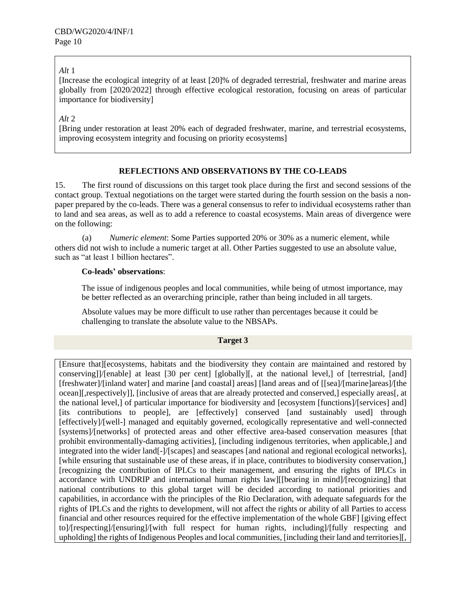# *Alt* 1

[Increase the ecological integrity of at least [20]% of degraded terrestrial, freshwater and marine areas globally from [2020/2022] through effective ecological restoration, focusing on areas of particular importance for biodiversity]

*Alt* 2

[Bring under restoration at least 20% each of degraded freshwater, marine, and terrestrial ecosystems, improving ecosystem integrity and focusing on priority ecosystems]

# **REFLECTIONS AND OBSERVATIONS BY THE CO-LEADS**

15. The first round of discussions on this target took place during the first and second sessions of the contact group. Textual negotiations on the target were started during the fourth session on the basis a nonpaper prepared by the co-leads. There was a general consensus to refer to individual ecosystems rather than to land and sea areas, as well as to add a reference to coastal ecosystems. Main areas of divergence were on the following:

(a) *Numeric element*: Some Parties supported 20% or 30% as a numeric element, while others did not wish to include a numeric target at all. Other Parties suggested to use an absolute value, such as "at least 1 billion hectares".

## **Co-leads' observations**:

The issue of indigenous peoples and local communities, while being of utmost importance, may be better reflected as an overarching principle, rather than being included in all targets.

Absolute values may be more difficult to use rather than percentages because it could be challenging to translate the absolute value to the NBSAPs.

## **Target 3**

[Ensure that][ecosystems, habitats and the biodiversity they contain are maintained and restored by conserving]]/[enable] at least [30 per cent] [globally][, at the national level,] of [terrestrial, [and] [freshwater]/[inland water] and marine [and coastal] areas] [land areas and of [[sea]/[marine]areas]/[the ocean][,respectively]], [inclusive of areas that are already protected and conserved,] especially areas[, at the national level,] of particular importance for biodiversity and [ecosystem [functions]/[services] and] [its contributions to people], are [effectively] conserved [and sustainably used] through [effectively]/[well-] managed and equitably governed, ecologically representative and well-connected [systems]/[networks] of protected areas and other effective area-based conservation measures [that prohibit environmentally-damaging activities], [including indigenous territories, when applicable,] and integrated into the wider land[-]/[scapes] and seascapes [and national and regional ecological networks], [while ensuring that sustainable use of these areas, if in place, contributes to biodiversity conservation,] [recognizing the contribution of IPLCs to their management, and ensuring the rights of IPLCs in accordance with UNDRIP and international human rights law][[bearing in mind]/[recognizing] that national contributions to this global target will be decided according to national priorities and capabilities, in accordance with the principles of the Rio Declaration, with adequate safeguards for the rights of IPLCs and the rights to development, will not affect the rights or ability of all Parties to access financial and other resources required for the effective implementation of the whole GBF] [giving effect to]/[respecting]/[ensuring]/[with full respect for human rights, including]/[fully respecting and upholding] the rights of Indigenous Peoples and local communities, [including their land and territories][,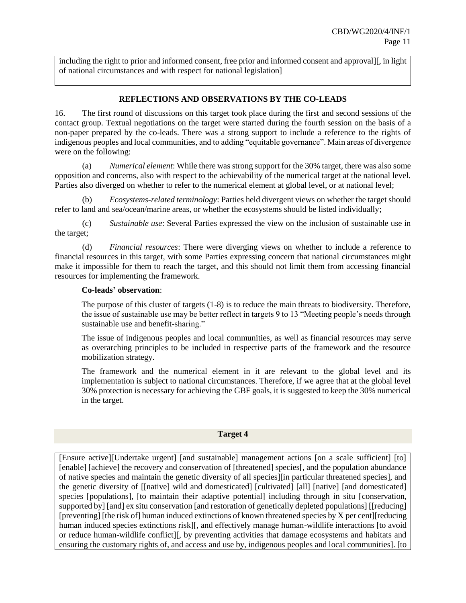including the right to prior and informed consent, free prior and informed consent and approval][, in light of national circumstances and with respect for national legislation]

## **REFLECTIONS AND OBSERVATIONS BY THE CO-LEADS**

16. The first round of discussions on this target took place during the first and second sessions of the contact group. Textual negotiations on the target were started during the fourth session on the basis of a non-paper prepared by the co-leads. There was a strong support to include a reference to the rights of indigenous peoples and local communities, and to adding "equitable governance". Main areas of divergence were on the following:

(a) *Numerical element*: While there was strong support for the 30% target, there was also some opposition and concerns, also with respect to the achievability of the numerical target at the national level. Parties also diverged on whether to refer to the numerical element at global level, or at national level;

(b) *Ecosystems-related terminology*: Parties held divergent views on whether the target should refer to land and sea/ocean/marine areas, or whether the ecosystems should be listed individually;

(c) *Sustainable use*: Several Parties expressed the view on the inclusion of sustainable use in the target;

(d) *Financial resources*: There were diverging views on whether to include a reference to financial resources in this target, with some Parties expressing concern that national circumstances might make it impossible for them to reach the target, and this should not limit them from accessing financial resources for implementing the framework.

## **Co-leads' observation**:

The purpose of this cluster of targets (1-8) is to reduce the main threats to biodiversity. Therefore, the issue of sustainable use may be better reflect in targets 9 to 13 "Meeting people's needs through sustainable use and benefit-sharing."

The issue of indigenous peoples and local communities, as well as financial resources may serve as overarching principles to be included in respective parts of the framework and the resource mobilization strategy.

The framework and the numerical element in it are relevant to the global level and its implementation is subject to national circumstances. Therefore, if we agree that at the global level 30% protection is necessary for achieving the GBF goals, it is suggested to keep the 30% numerical in the target.

#### **Target 4**

[Ensure active][Undertake urgent] [and sustainable] management actions [on a scale sufficient] [to] [enable] [achieve] the recovery and conservation of [threatened] species[, and the population abundance of native species and maintain the genetic diversity of all species][in particular threatened species], and the genetic diversity of [[native] wild and domesticated] [cultivated] [all] [native] [and domesticated] species [populations], [to maintain their adaptive potential] including through in situ [conservation, supported by] [and] ex situ conservation [and restoration of genetically depleted populations] [[reducing] [preventing] [the risk of] human induced extinctions of known threatened species by X per cent][reducing human induced species extinctions risk][, and effectively manage human-wildlife interactions [to avoid or reduce human-wildlife conflict][, by preventing activities that damage ecosystems and habitats and ensuring the customary rights of, and access and use by, indigenous peoples and local communities]. [to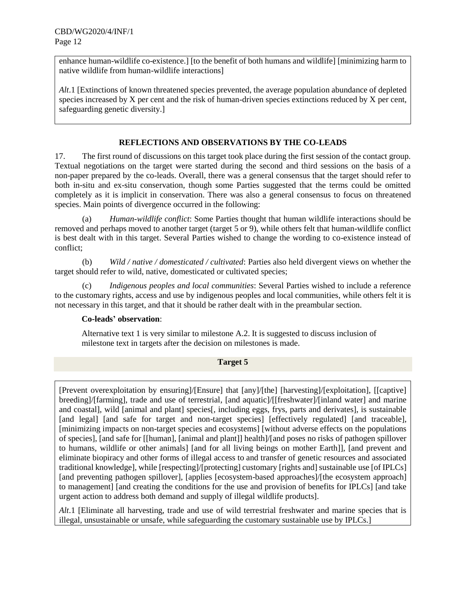enhance human-wildlife co-existence.] [to the benefit of both humans and wildlife] [minimizing harm to native wildlife from human-wildlife interactions]

*Alt*.1 [Extinctions of known threatened species prevented, the average population abundance of depleted species increased by X per cent and the risk of human-driven species extinctions reduced by X per cent, safeguarding genetic diversity.]

# **REFLECTIONS AND OBSERVATIONS BY THE CO-LEADS**

17. The first round of discussions on this target took place during the first session of the contact group. Textual negotiations on the target were started during the second and third sessions on the basis of a non-paper prepared by the co-leads. Overall, there was a general consensus that the target should refer to both in-situ and ex-situ conservation, though some Parties suggested that the terms could be omitted completely as it is implicit in conservation. There was also a general consensus to focus on threatened species. Main points of divergence occurred in the following:

(a) *Human-wildlife conflict*: Some Parties thought that human wildlife interactions should be removed and perhaps moved to another target (target 5 or 9), while others felt that human-wildlife conflict is best dealt with in this target. Several Parties wished to change the wording to co-existence instead of conflict;

(b) *Wild / native / domesticated / cultivated*: Parties also held divergent views on whether the target should refer to wild, native, domesticated or cultivated species;

(c) *Indigenous peoples and local communities*: Several Parties wished to include a reference to the customary rights, access and use by indigenous peoples and local communities, while others felt it is not necessary in this target, and that it should be rather dealt with in the preambular section.

# **Co-leads' observation**:

Alternative text 1 is very similar to milestone A.2. It is suggested to discuss inclusion of milestone text in targets after the decision on milestones is made.

## **Target 5**

[Prevent overexploitation by ensuring]/[Ensure] that [any]/[the] [harvesting]/[exploitation], [[captive] breeding]/[farming], trade and use of terrestrial, [and aquatic]/[[freshwater]/[inland water] and marine and coastal], wild [animal and plant] species[, including eggs, frys, parts and derivates], is sustainable [and legal] [and safe for target and non-target species] [effectively regulated] [and traceable], [minimizing impacts on non-target species and ecosystems] [without adverse effects on the populations of species], [and safe for [[human], [animal and plant]] health]/[and poses no risks of pathogen spillover to humans, wildlife or other animals] [and for all living beings on mother Earth]], [and prevent and eliminate biopiracy and other forms of illegal access to and transfer of genetic resources and associated traditional knowledge], while [respecting]/[protecting] customary [rights and] sustainable use [of IPLCs] [and preventing pathogen spillover], [applies [ecosystem-based approaches]/[the ecosystem approach] to management] [and creating the conditions for the use and provision of benefits for IPLCs] [and take urgent action to address both demand and supply of illegal wildlife products].

*Alt*.1 [Eliminate all harvesting, trade and use of wild terrestrial freshwater and marine species that is illegal, unsustainable or unsafe, while safeguarding the customary sustainable use by IPLCs.]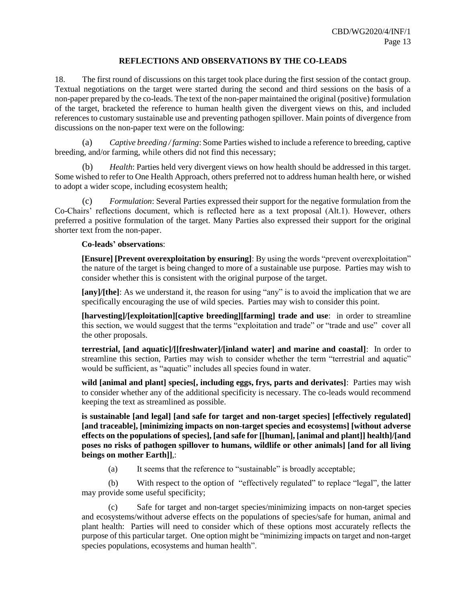# **REFLECTIONS AND OBSERVATIONS BY THE CO-LEADS**

18. The first round of discussions on this target took place during the first session of the contact group. Textual negotiations on the target were started during the second and third sessions on the basis of a non-paper prepared by the co-leads. The text of the non-paper maintained the original (positive) formulation of the target, bracketed the reference to human health given the divergent views on this, and included references to customary sustainable use and preventing pathogen spillover. Main points of divergence from discussions on the non-paper text were on the following:

(a) *Captive breeding / farming*: Some Parties wished to include a reference to breeding, captive breeding, and/or farming, while others did not find this necessary;

(b) *Health*: Parties held very divergent views on how health should be addressed in this target. Some wished to refer to One Health Approach, others preferred not to address human health here, or wished to adopt a wider scope, including ecosystem health;

(c) *Formulation*: Several Parties expressed their support for the negative formulation from the Co-Chairs' reflections document, which is reflected here as a text proposal (Alt.1). However, others preferred a positive formulation of the target. Many Parties also expressed their support for the original shorter text from the non-paper.

#### **Co-leads' observations**:

**[Ensure] [Prevent overexploitation by ensuring]**: By using the words "prevent overexploitation" the nature of the target is being changed to more of a sustainable use purpose. Parties may wish to consider whether this is consistent with the original purpose of the target.

**[any]/[the]**: As we understand it, the reason for using "any" is to avoid the implication that we are specifically encouraging the use of wild species. Parties may wish to consider this point.

**[harvesting]/[exploitation][captive breeding][farming] trade and use**: in order to streamline this section, we would suggest that the terms "exploitation and trade" or "trade and use" cover all the other proposals.

**terrestrial, [and aquatic]/[[freshwater]/[inland water] and marine and coastal]**: In order to streamline this section, Parties may wish to consider whether the term "terrestrial and aquatic" would be sufficient, as "aquatic" includes all species found in water.

**wild [animal and plant] species[, including eggs, frys, parts and derivates]**: Parties may wish to consider whether any of the additional specificity is necessary. The co-leads would recommend keeping the text as streamlined as possible.

**is sustainable [and legal] [and safe for target and non-target species] [effectively regulated] [and traceable], [minimizing impacts on non-target species and ecosystems] [without adverse effects on the populations of species], [and safe for [[human], [animal and plant]] health]/[and poses no risks of pathogen spillover to humans, wildlife or other animals] [and for all living beings on mother Earth]]**,:

(a) It seems that the reference to "sustainable" is broadly acceptable;

(b) With respect to the option of "effectively regulated" to replace "legal", the latter may provide some useful specificity;

(c) Safe for target and non-target species/minimizing impacts on non-target species and ecosystems/without adverse effects on the populations of species/safe for human, animal and plant health: Parties will need to consider which of these options most accurately reflects the purpose of this particular target. One option might be "minimizing impacts on target and non-target species populations, ecosystems and human health".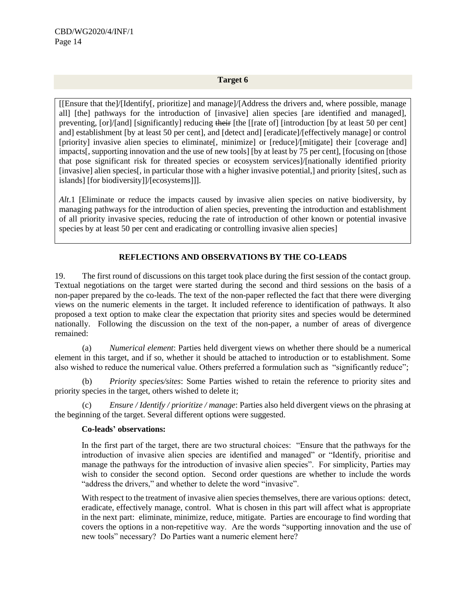## **Target 6**

[[Ensure that the]/[Identify[, prioritize] and manage]/[Address the drivers and, where possible, manage all] [the] pathways for the introduction of [invasive] alien species [are identified and managed], preventing, [or]/[and] [significantly] reducing their [the [[rate of] [introduction [by at least 50 per cent] and] establishment [by at least 50 per cent], and [detect and] [eradicate]/[effectively manage] or control [priority] invasive alien species to eliminate[, minimize] or [reduce]/[mitigate] their [coverage and] impacts[, supporting innovation and the use of new tools] [by at least by 75 per cent], [focusing on [those that pose significant risk for threated species or ecosystem services]/[nationally identified priority [invasive] alien species[, in particular those with a higher invasive potential,] and priority [sites[, such as islands] [for biodiversity]]/[ecosystems]]].

*Alt*.1 [Eliminate or reduce the impacts caused by invasive alien species on native biodiversity, by managing pathways for the introduction of alien species, preventing the introduction and establishment of all priority invasive species, reducing the rate of introduction of other known or potential invasive species by at least 50 per cent and eradicating or controlling invasive alien species]

# **REFLECTIONS AND OBSERVATIONS BY THE CO-LEADS**

19. The first round of discussions on this target took place during the first session of the contact group. Textual negotiations on the target were started during the second and third sessions on the basis of a non-paper prepared by the co-leads. The text of the non-paper reflected the fact that there were diverging views on the numeric elements in the target. It included reference to identification of pathways. It also proposed a text option to make clear the expectation that priority sites and species would be determined nationally. Following the discussion on the text of the non-paper, a number of areas of divergence remained:

(a) *Numerical element*: Parties held divergent views on whether there should be a numerical element in this target, and if so, whether it should be attached to introduction or to establishment. Some also wished to reduce the numerical value. Others preferred a formulation such as "significantly reduce";

(b) *Priority species/sites*: Some Parties wished to retain the reference to priority sites and priority species in the target, others wished to delete it;

(c) *Ensure / Identify / prioritize / manage*: Parties also held divergent views on the phrasing at the beginning of the target. Several different options were suggested.

#### **Co-leads' observations:**

In the first part of the target, there are two structural choices: "Ensure that the pathways for the introduction of invasive alien species are identified and managed" or "Identify, prioritise and manage the pathways for the introduction of invasive alien species". For simplicity, Parties may wish to consider the second option. Second order questions are whether to include the words "address the drivers," and whether to delete the word "invasive".

With respect to the treatment of invasive alien species themselves, there are various options: detect, eradicate, effectively manage, control. What is chosen in this part will affect what is appropriate in the next part: eliminate, minimize, reduce, mitigate. Parties are encourage to find wording that covers the options in a non-repetitive way. Are the words "supporting innovation and the use of new tools" necessary? Do Parties want a numeric element here?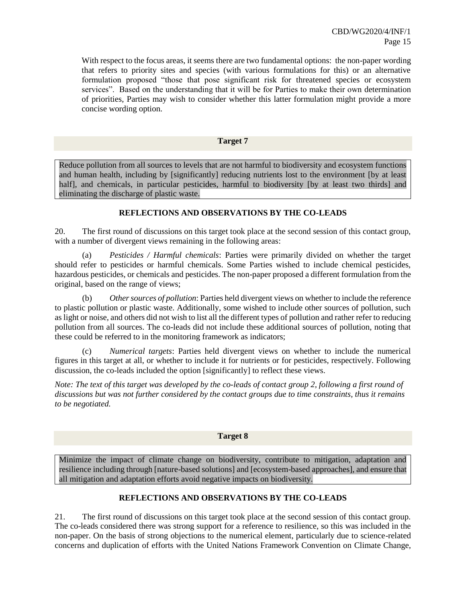With respect to the focus areas, it seems there are two fundamental options: the non-paper wording that refers to priority sites and species (with various formulations for this) or an alternative formulation proposed "those that pose significant risk for threatened species or ecosystem services". Based on the understanding that it will be for Parties to make their own determination of priorities, Parties may wish to consider whether this latter formulation might provide a more concise wording option.

#### **Target 7**

Reduce pollution from all sources to levels that are not harmful to biodiversity and ecosystem functions and human health, including by [significantly] reducing nutrients lost to the environment [by at least half], and chemicals, in particular pesticides, harmful to biodiversity [by at least two thirds] and eliminating the discharge of plastic waste.

# **REFLECTIONS AND OBSERVATIONS BY THE CO-LEADS**

20. The first round of discussions on this target took place at the second session of this contact group, with a number of divergent views remaining in the following areas:

(a) *Pesticides / Harmful chemicals*: Parties were primarily divided on whether the target should refer to pesticides or harmful chemicals. Some Parties wished to include chemical pesticides, hazardous pesticides, or chemicals and pesticides. The non-paper proposed a different formulation from the original, based on the range of views;

(b) *Other sources of pollution*: Parties held divergent views on whether to include the reference to plastic pollution or plastic waste. Additionally, some wished to include other sources of pollution, such as light or noise, and others did not wish to list all the different types of pollution and rather refer to reducing pollution from all sources. The co-leads did not include these additional sources of pollution, noting that these could be referred to in the monitoring framework as indicators;

(c) *Numerical targets*: Parties held divergent views on whether to include the numerical figures in this target at all, or whether to include it for nutrients or for pesticides, respectively. Following discussion, the co-leads included the option [significantly] to reflect these views.

*Note: The text of this target was developed by the co-leads of contact group 2, following a first round of discussions but was not further considered by the contact groups due to time constraints, thus it remains to be negotiated.*

## **Target 8**

Minimize the impact of climate change on biodiversity, contribute to mitigation, adaptation and resilience including through [nature-based solutions] and [ecosystem-based approaches], and ensure that all mitigation and adaptation efforts avoid negative impacts on biodiversity.

# **REFLECTIONS AND OBSERVATIONS BY THE CO-LEADS**

21. The first round of discussions on this target took place at the second session of this contact group. The co-leads considered there was strong support for a reference to resilience, so this was included in the non-paper. On the basis of strong objections to the numerical element, particularly due to science-related concerns and duplication of efforts with the United Nations Framework Convention on Climate Change,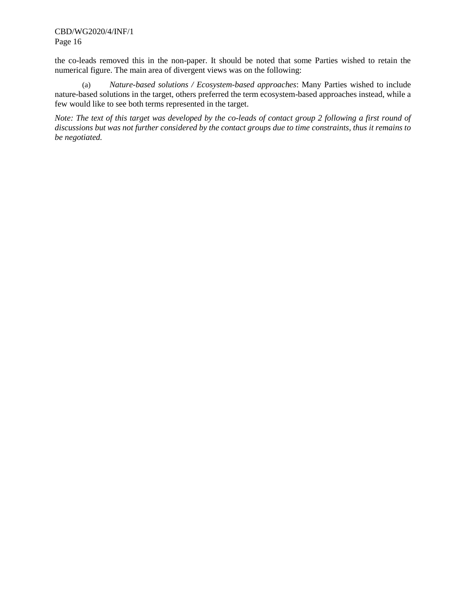CBD/WG2020/4/INF/1 Page 16

the co-leads removed this in the non-paper. It should be noted that some Parties wished to retain the numerical figure. The main area of divergent views was on the following:

(a) *Nature-based solutions / Ecosystem-based approaches*: Many Parties wished to include nature-based solutions in the target, others preferred the term ecosystem-based approaches instead, while a few would like to see both terms represented in the target.

*Note: The text of this target was developed by the co-leads of contact group 2 following a first round of discussions but was not further considered by the contact groups due to time constraints, thus it remains to be negotiated.*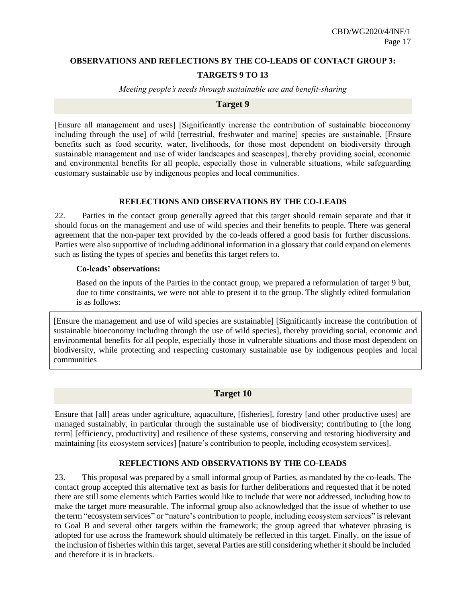# **OBSERVATIONS AND REFLECTIONS BY THE CO-LEADS OF CONTACT GROUP 3:**

# **TARGETS 9 TO 13**

*Meeting people's needs through sustainable use and benefit-sharing*

# **Target 9**

[Ensure all management and uses] [Significantly increase the contribution of sustainable bioeconomy including through the use] of wild [terrestrial, freshwater and marine] species are sustainable, [Ensure benefits such as food security, water, livelihoods, for those most dependent on biodiversity through sustainable management and use of wider landscapes and seascapes], thereby providing social, economic and environmental benefits for all people, especially those in vulnerable situations, while safeguarding customary sustainable use by indigenous peoples and local communities.

# **REFLECTIONS AND OBSERVATIONS BY THE CO-LEADS**

22. Parties in the contact group generally agreed that this target should remain separate and that it should focus on the management and use of wild species and their benefits to people. There was general agreement that the non-paper text provided by the co-leads offered a good basis for further discussions. Parties were also supportive of including additional information in a glossary that could expand on elements such as listing the types of species and benefits this target refers to.

## **Co-leads' observations:**

Based on the inputs of the Parties in the contact group, we prepared a reformulation of target 9 but, due to time constraints, we were not able to present it to the group. The slightly edited formulation is as follows:

[Ensure the management and use of wild species are sustainable] [Significantly increase the contribution of sustainable bioeconomy including through the use of wild species], thereby providing social, economic and environmental benefits for all people, especially those in vulnerable situations and those most dependent on biodiversity, while protecting and respecting customary sustainable use by indigenous peoples and local communities

# **Target 10**

Ensure that [all] areas under agriculture, aquaculture, [fisheries], forestry [and other productive uses] are managed sustainably, in particular through the sustainable use of biodiversity; contributing to [the long term] [efficiency, productivity] and resilience of these systems, conserving and restoring biodiversity and maintaining [its ecosystem services] [nature's contribution to people, including ecosystem services].

## **REFLECTIONS AND OBSERVATIONS BY THE CO-LEADS**

23. This proposal was prepared by a small informal group of Parties, as mandated by the co-leads. The contact group accepted this alternative text as basis for further deliberations and requested that it be noted there are still some elements which Parties would like to include that were not addressed, including how to make the target more measurable. The informal group also acknowledged that the issue of whether to use the term "ecosystem services" or "nature's contribution to people, including ecosystem services" is relevant to Goal B and several other targets within the framework; the group agreed that whatever phrasing is adopted for use across the framework should ultimately be reflected in this target. Finally, on the issue of the inclusion of fisheries within this target, several Parties are still considering whether it should be included and therefore it is in brackets.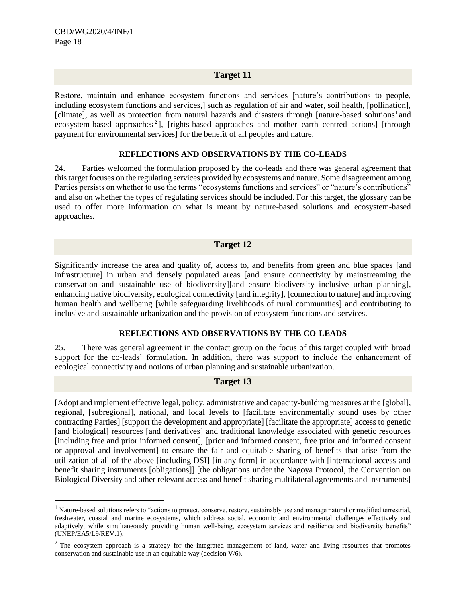l

# **Target 11**

Restore, maintain and enhance ecosystem functions and services [nature's contributions to people, including ecosystem functions and services,] such as regulation of air and water, soil health, [pollination], [climate], as well as protection from natural hazards and disasters through [nature-based solutions<sup>1</sup> and ecosystem-based approaches<sup>2</sup>], [rights-based approaches and mother earth centred actions] [through payment for environmental services] for the benefit of all peoples and nature.

#### **REFLECTIONS AND OBSERVATIONS BY THE CO-LEADS**

24. Parties welcomed the formulation proposed by the co-leads and there was general agreement that this target focuses on the regulating services provided by ecosystems and nature. Some disagreement among Parties persists on whether to use the terms "ecosystems functions and services" or "nature's contributions" and also on whether the types of regulating services should be included. For this target, the glossary can be used to offer more information on what is meant by nature-based solutions and ecosystem-based approaches.

## **Target 12**

Significantly increase the area and quality of, access to, and benefits from green and blue spaces [and infrastructure] in urban and densely populated areas [and ensure connectivity by mainstreaming the conservation and sustainable use of biodiversity][and ensure biodiversity inclusive urban planning], enhancing native biodiversity, ecological connectivity [and integrity], [connection to nature] and improving human health and wellbeing [while safeguarding livelihoods of rural communities] and contributing to inclusive and sustainable urbanization and the provision of ecosystem functions and services.

## **REFLECTIONS AND OBSERVATIONS BY THE CO-LEADS**

25. There was general agreement in the contact group on the focus of this target coupled with broad support for the co-leads' formulation. In addition, there was support to include the enhancement of ecological connectivity and notions of urban planning and sustainable urbanization.

## **Target 13**

[Adopt and implement effective legal, policy, administrative and capacity-building measures at the [global], regional, [subregional], national, and local levels to [facilitate environmentally sound uses by other contracting Parties] [support the development and appropriate] [facilitate the appropriate] access to genetic [and biological] resources [and derivatives] and traditional knowledge associated with genetic resources [including free and prior informed consent], [prior and informed consent, free prior and informed consent or approval and involvement] to ensure the fair and equitable sharing of benefits that arise from the utilization of all of the above [including DSI] [in any form] in accordance with [international access and benefit sharing instruments [obligations]] [the obligations under the Nagoya Protocol, the Convention on Biological Diversity and other relevant access and benefit sharing multilateral agreements and instruments]

<sup>&</sup>lt;sup>1</sup> Nature-based solutions refers to "actions to protect, conserve, restore, sustainably use and manage natural or modified terrestrial, freshwater, coastal and marine ecosystems, which address social, economic and environmental challenges effectively and adaptively, while simultaneously providing human well-being, ecosystem services and resilience and biodiversity benefits" (UNEP/EA5/L9/REV.1).

 $2$  The ecosystem approach is a strategy for the integrated management of land, water and living resources that promotes conservation and sustainable use in an equitable way (decision V/6).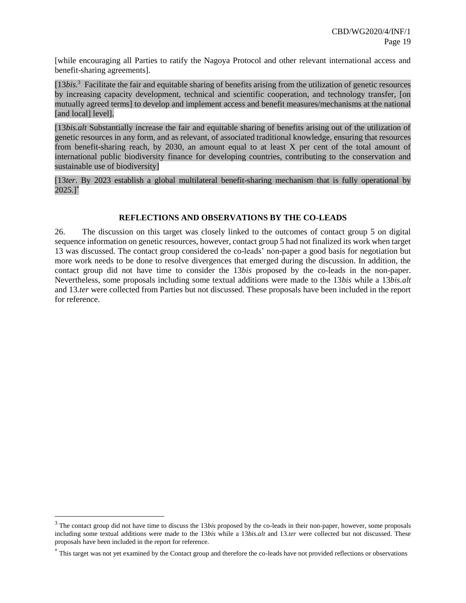[while encouraging all Parties to ratify the Nagoya Protocol and other relevant international access and benefit-sharing agreements].

[13*bis.*<sup>3</sup> Facilitate the fair and equitable sharing of benefits arising from the utilization of genetic resources by increasing capacity development, technical and scientific cooperation, and technology transfer, [on mutually agreed terms] to develop and implement access and benefit measures/mechanisms at the national [and local] level].

[13*bis.alt* Substantially increase the fair and equitable sharing of benefits arising out of the utilization of genetic resources in any form, and as relevant, of associated traditional knowledge, ensuring that resources from benefit-sharing reach, by 2030, an amount equal to at least X per cent of the total amount of international public biodiversity finance for developing countries, contributing to the conservation and sustainable use of biodiversity]

[13*ter*. By 2023 establish a global multilateral benefit-sharing mechanism that is fully operational by  $2025.$ ]\*

# **REFLECTIONS AND OBSERVATIONS BY THE CO-LEADS**

26. The discussion on this target was closely linked to the outcomes of contact group 5 on digital sequence information on genetic resources, however, contact group 5 had not finalized its work when target 13 was discussed. The contact group considered the co-leads' non-paper a good basis for negotiation but more work needs to be done to resolve divergences that emerged during the discussion. In addition, the contact group did not have time to consider the 13*bis* proposed by the co-leads in the non-paper. Nevertheless, some proposals including some textual additions were made to the 13*bis* while a 13*bis.alt*  and 13.*ter* were collected from Parties but not discussed. These proposals have been included in the report for reference.

 $\overline{a}$ 

<sup>3</sup> The contact group did not have time to discuss the 13*bis* proposed by the co-leads in their non-paper, however, some proposals including some textual additions were made to the 13*bis* while a 13*bis.alt* and 13.*ter* were collected but not discussed. These proposals have been included in the report for reference.

<sup>\*</sup> This target was not yet examined by the Contact group and therefore the co-leads have not provided reflections or observations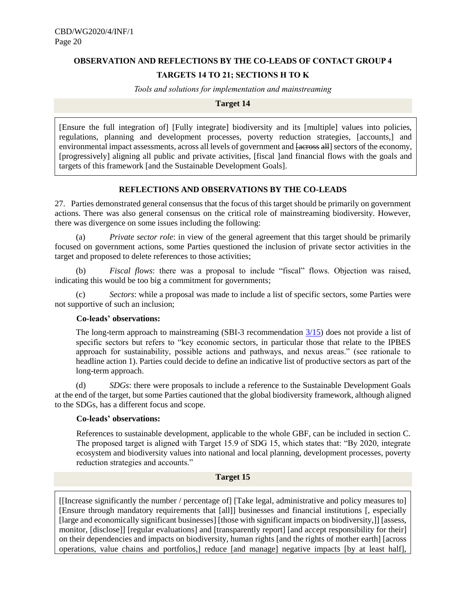# **OBSERVATION AND REFLECTIONS BY THE CO-LEADS OF CONTACT GROUP 4 TARGETS 14 TO 21; SECTIONS H TO K**

*Tools and solutions for implementation and mainstreaming*

#### **Target 14**

[Ensure the full integration of] [Fully integrate] biodiversity and its [multiple] values into policies, regulations, planning and development processes, poverty reduction strategies, [accounts,] and environmental impact assessments, across all levels of government and  $\frac{1}{\sqrt{1-\frac{1}{n}}}$  sectors of the economy, [progressively] aligning all public and private activities, [fiscal ]and financial flows with the goals and targets of this framework [and the Sustainable Development Goals].

## **REFLECTIONS AND OBSERVATIONS BY THE CO-LEADS**

27. Parties demonstrated general consensus that the focus of this target should be primarily on government actions. There was also general consensus on the critical role of mainstreaming biodiversity. However, there was divergence on some issues including the following:

*Private sector role*: in view of the general agreement that this target should be primarily focused on government actions, some Parties questioned the inclusion of private sector activities in the target and proposed to delete references to those activities;

(b) *Fiscal flows*: there was a proposal to include "fiscal" flows. Objection was raised, indicating this would be too big a commitment for governments;

(c) *Sectors*: while a proposal was made to include a list of specific sectors, some Parties were not supportive of such an inclusion;

## **Co-leads' observations:**

The long-term approach to mainstreaming (SBI-3 recommendation [3/15\)](https://www.cbd.int/doc/recommendations/sbi-03/sbi-03-rec-15-en.pdf) does not provide a list of specific sectors but refers to "key economic sectors, in particular those that relate to the IPBES approach for sustainability, possible actions and pathways, and nexus areas." (see rationale to headline action 1). Parties could decide to define an indicative list of productive sectors as part of the long-term approach.

(d) *SDGs*: there were proposals to include a reference to the Sustainable Development Goals at the end of the target, but some Parties cautioned that the global biodiversity framework, although aligned to the SDGs, has a different focus and scope.

## **Co-leads' observations:**

References to sustainable development, applicable to the whole GBF, can be included in section C. The proposed target is aligned with Target 15.9 of SDG 15, which states that: "By 2020, integrate ecosystem and biodiversity values into national and local planning, development processes, poverty reduction strategies and accounts."

# **Target 15**

[[Increase significantly the number / percentage of] [Take legal, administrative and policy measures to] [Ensure through mandatory requirements that [all]] businesses and financial institutions [, especially [large and economically significant businesses] [those with significant impacts on biodiversity,]] [assess, monitor, [disclose]] [regular evaluations] and [transparently report] [and accept responsibility for their] on their dependencies and impacts on biodiversity, human rights [and the rights of mother earth] [across operations, value chains and portfolios,] reduce [and manage] negative impacts [by at least half],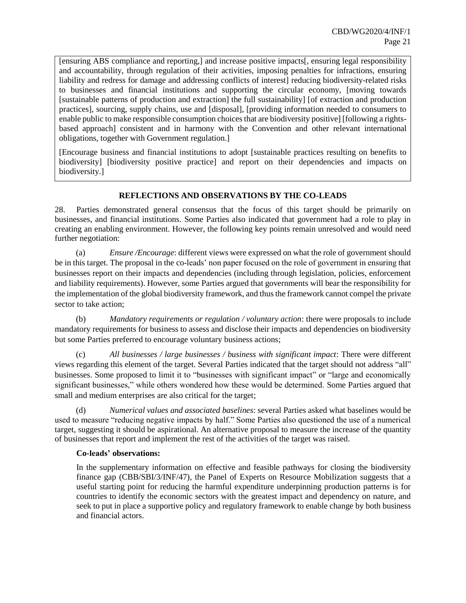[ensuring ABS compliance and reporting,] and increase positive impacts[, ensuring legal responsibility and accountability, through regulation of their activities, imposing penalties for infractions, ensuring liability and redress for damage and addressing conflicts of interest] reducing biodiversity-related risks to businesses and financial institutions and supporting the circular economy, [moving towards [sustainable patterns of production and extraction] the full sustainability] [of extraction and production practices], sourcing, supply chains, use and [disposal], [providing information needed to consumers to enable public to make responsible consumption choices that are biodiversity positive] [following a rightsbased approach] consistent and in harmony with the Convention and other relevant international obligations, together with Government regulation.]

[Encourage business and financial institutions to adopt [sustainable practices resulting on benefits to biodiversity] [biodiversity positive practice] and report on their dependencies and impacts on biodiversity.]

# **REFLECTIONS AND OBSERVATIONS BY THE CO-LEADS**

28. Parties demonstrated general consensus that the focus of this target should be primarily on businesses, and financial institutions. Some Parties also indicated that government had a role to play in creating an enabling environment. However, the following key points remain unresolved and would need further negotiation:

(a) *Ensure /Encourage*: different views were expressed on what the role of government should be in this target. The proposal in the co-leads' non paper focused on the role of government in ensuring that businesses report on their impacts and dependencies (including through legislation, policies, enforcement and liability requirements). However, some Parties argued that governments will bear the responsibility for the implementation of the global biodiversity framework, and thus the framework cannot compel the private sector to take action;

(b) *Mandatory requirements or regulation / voluntary action*: there were proposals to include mandatory requirements for business to assess and disclose their impacts and dependencies on biodiversity but some Parties preferred to encourage voluntary business actions;

(c) *All businesses / large businesses / business with significant impact*: There were different views regarding this element of the target. Several Parties indicated that the target should not address "all" businesses. Some proposed to limit it to "businesses with significant impact" or "large and economically significant businesses," while others wondered how these would be determined. Some Parties argued that small and medium enterprises are also critical for the target;

(d) *Numerical values and associated baselines*: several Parties asked what baselines would be used to measure "reducing negative impacts by half." Some Parties also questioned the use of a numerical target, suggesting it should be aspirational. An alternative proposal to measure the increase of the quantity of businesses that report and implement the rest of the activities of the target was raised.

## **Co-leads' observations:**

In the supplementary information on effective and feasible pathways for closing the biodiversity finance gap (CBB/SBI/3/INF/47), the Panel of Experts on Resource Mobilization suggests that a useful starting point for reducing the harmful expenditure underpinning production patterns is for countries to identify the economic sectors with the greatest impact and dependency on nature, and seek to put in place a supportive policy and regulatory framework to enable change by both business and financial actors.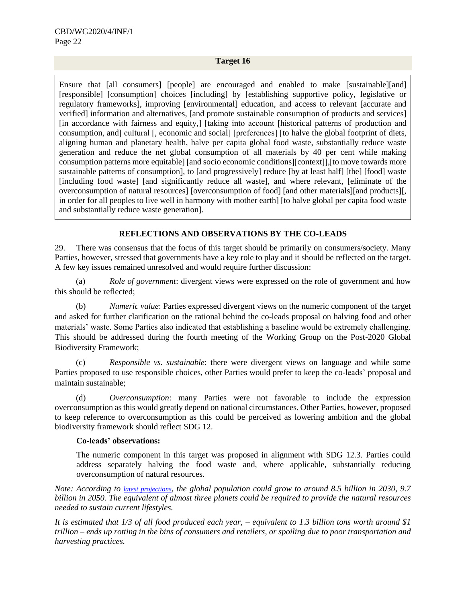#### **Target 16**

Ensure that [all consumers] [people] are encouraged and enabled to make [sustainable][and] [responsible] [consumption] choices [including] by [establishing supportive policy, legislative or regulatory frameworks], improving [environmental] education, and access to relevant [accurate and verified] information and alternatives, [and promote sustainable consumption of products and services] [in accordance with fairness and equity,] [taking into account [historical patterns of production and consumption, and] cultural [, economic and social] [preferences] [to halve the global footprint of diets, aligning human and planetary health, halve per capita global food waste, substantially reduce waste generation and reduce the net global consumption of all materials by 40 per cent while making consumption patterns more equitable] [and socio economic conditions][context]],[to move towards more sustainable patterns of consumption], to [and progressively] reduce [by at least half] [the] [food] waste [including food waste] [and significantly reduce all waste], and where relevant, [eliminate of the overconsumption of natural resources] [overconsumption of food] [and other materials][and products][, in order for all peoples to live well in harmony with mother earth] [to halve global per capita food waste and substantially reduce waste generation].

# **REFLECTIONS AND OBSERVATIONS BY THE CO-LEADS**

29. There was consensus that the focus of this target should be primarily on consumers/society. Many Parties, however, stressed that governments have a key role to play and it should be reflected on the target. A few key issues remained unresolved and would require further discussion:

(a) *Role of government*: divergent views were expressed on the role of government and how this should be reflected;

(b) *Numeric value*: Parties expressed divergent views on the numeric component of the target and asked for further clarification on the rational behind the co-leads proposal on halving food and other materials' waste. Some Parties also indicated that establishing a baseline would be extremely challenging. This should be addressed during the fourth meeting of the Working Group on the Post-2020 Global Biodiversity Framework;

(c) *Responsible vs. sustainable*: there were divergent views on language and while some Parties proposed to use responsible choices, other Parties would prefer to keep the co-leads' proposal and maintain sustainable;

(d) *Overconsumption*: many Parties were not favorable to include the expression overconsumption as this would greatly depend on national circumstances. Other Parties, however, proposed to keep reference to overconsumption as this could be perceived as lowering ambition and the global biodiversity framework should reflect SDG 12.

# **Co-leads' observations:**

The numeric component in this target was proposed in alignment with SDG 12.3. Parties could address separately halving the food waste and, where applicable, substantially reducing overconsumption of natural resources.

*Note: According to [latest projections](https://population.un.org/wpp/Publications/Files/WPP2019_Highlights.pdf), the global population could grow to around 8.5 billion in 2030, 9.7 billion in 2050. The equivalent of almost three planets could be required to provide the natural resources needed to sustain current lifestyles.*

*It is estimated that 1/3 of all food produced each year, – equivalent to 1.3 billion tons worth around \$1 trillion – ends up rotting in the bins of consumers and retailers, or spoiling due to poor transportation and harvesting practices.*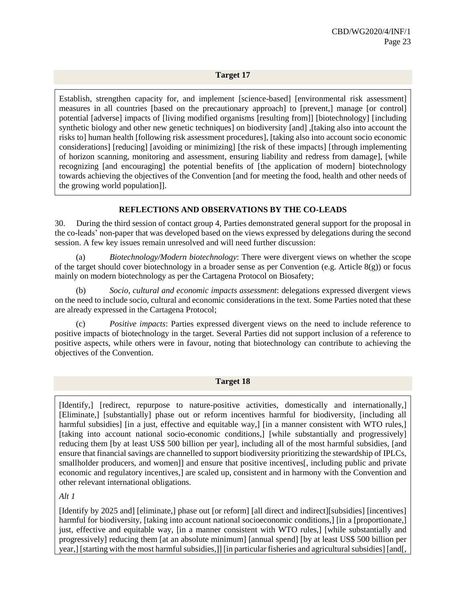## **Target 17**

Establish, strengthen capacity for, and implement [science-based] [environmental risk assessment] measures in all countries [based on the precautionary approach] to [prevent,] manage [or control] potential [adverse] impacts of [living modified organisms [resulting from]] [biotechnology] [including synthetic biology and other new genetic techniques] on biodiversity [and] ,[taking also into account the risks to] human health [following risk assessment procedures], [taking also into account socio economic considerations] [reducing] [avoiding or minimizing] [the risk of these impacts] [through implementing of horizon scanning, monitoring and assessment, ensuring liability and redress from damage], [while recognizing [and encouraging] the potential benefits of [the application of modern] biotechnology towards achieving the objectives of the Convention [and for meeting the food, health and other needs of the growing world population]].

# **REFLECTIONS AND OBSERVATIONS BY THE CO-LEADS**

30. During the third session of contact group 4, Parties demonstrated general support for the proposal in the co-leads' non-paper that was developed based on the views expressed by delegations during the second session. A few key issues remain unresolved and will need further discussion:

(a) *Biotechnology/Modern biotechnology*: There were divergent views on whether the scope of the target should cover biotechnology in a broader sense as per Convention (e.g. Article  $8(g)$ ) or focus mainly on modern biotechnology as per the Cartagena Protocol on Biosafety;

(b) *Socio, cultural and economic impacts assessment*: delegations expressed divergent views on the need to include socio, cultural and economic considerations in the text. Some Parties noted that these are already expressed in the Cartagena Protocol;

(c) *Positive impacts*: Parties expressed divergent views on the need to include reference to positive impacts of biotechnology in the target. Several Parties did not support inclusion of a reference to positive aspects, while others were in favour, noting that biotechnology can contribute to achieving the objectives of the Convention.

## **Target 18**

[Identify,] [redirect, repurpose to nature-positive activities, domestically and internationally,] [Eliminate,] [substantially] phase out or reform incentives harmful for biodiversity, [including all harmful subsidies] [in a just, effective and equitable way,] [in a manner consistent with WTO rules,] [taking into account national socio-economic conditions,] [while substantially and progressively] reducing them [by at least US\$ 500 billion per year], including all of the most harmful subsidies, [and ensure that financial savings are channelled to support biodiversity prioritizing the stewardship of IPLCs, smallholder producers, and women]] and ensure that positive incentives[, including public and private economic and regulatory incentives,] are scaled up, consistent and in harmony with the Convention and other relevant international obligations.

#### *Alt 1*

[Identify by 2025 and] [eliminate,] phase out [or reform] [all direct and indirect][subsidies] [incentives] harmful for biodiversity, [taking into account national socioeconomic conditions,] [in a [proportionate,] just, effective and equitable way, [in a manner consistent with WTO rules,] [while substantially and progressively] reducing them [at an absolute minimum] [annual spend] [by at least US\$ 500 billion per year,] [starting with the most harmful subsidies,]] [in particular fisheries and agricultural subsidies] [and[,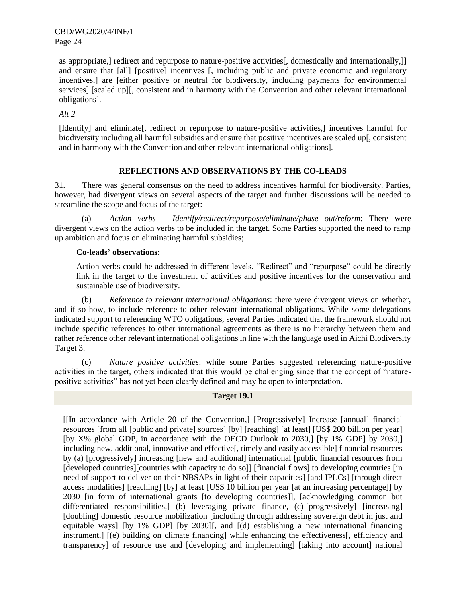as appropriate,] redirect and repurpose to nature-positive activities[, domestically and internationally,]] and ensure that [all] [positive] incentives [, including public and private economic and regulatory incentives,] are [either positive or neutral for biodiversity, including payments for environmental services] [scaled up][, consistent and in harmony with the Convention and other relevant international obligations].

*Alt 2*

[Identify] and eliminate[, redirect or repurpose to nature-positive activities,] incentives harmful for biodiversity including all harmful subsidies and ensure that positive incentives are scaled up[, consistent and in harmony with the Convention and other relevant international obligations].

# **REFLECTIONS AND OBSERVATIONS BY THE CO-LEADS**

31. There was general consensus on the need to address incentives harmful for biodiversity. Parties, however, had divergent views on several aspects of the target and further discussions will be needed to streamline the scope and focus of the target:

(a) *Action verbs* – *Identify/redirect/repurpose/eliminate/phase out/reform*: There were divergent views on the action verbs to be included in the target. Some Parties supported the need to ramp up ambition and focus on eliminating harmful subsidies;

# **Co-leads' observations:**

Action verbs could be addressed in different levels. "Redirect" and "repurpose" could be directly link in the target to the investment of activities and positive incentives for the conservation and sustainable use of biodiversity.

(b) *Reference to relevant international obligations*: there were divergent views on whether, and if so how, to include reference to other relevant international obligations. While some delegations indicated support to referencing WTO obligations, several Parties indicated that the framework should not include specific references to other international agreements as there is no hierarchy between them and rather reference other relevant international obligations in line with the language used in Aichi Biodiversity Target 3.

(c) *Nature positive activities*: while some Parties suggested referencing nature-positive activities in the target, others indicated that this would be challenging since that the concept of "naturepositive activities" has not yet been clearly defined and may be open to interpretation.

# **Target 19.1**

[[In accordance with Article 20 of the Convention,] [Progressively] Increase [annual] financial resources [from all [public and private] sources] [by] [reaching] [at least] [US\$ 200 billion per year] [by X% global GDP, in accordance with the OECD Outlook to 2030,] [by 1% GDP] by 2030,] including new, additional, innovative and effective[, timely and easily accessible] financial resources by (a) [progressively] increasing [new and additional] international [public financial resources from [developed countries][countries with capacity to do so]] [financial flows] to developing countries [in] need of support to deliver on their NBSAPs in light of their capacities] [and IPLCs] [through direct access modalities] [reaching] [by] at least [US\$ 10 billion per year [at an increasing percentage]] by 2030 [in form of international grants [to developing countries]], [acknowledging common but differentiated responsibilities, [b) leveraging private finance, (c) [progressively] [increasing] [doubling] domestic resource mobilization [including through addressing sovereign debt in just and equitable ways] [by 1% GDP] [by 2030][, and [(d) establishing a new international financing instrument,] [(e) building on climate financing] while enhancing the effectiveness[, efficiency and transparency] of resource use and [developing and implementing] [taking into account] national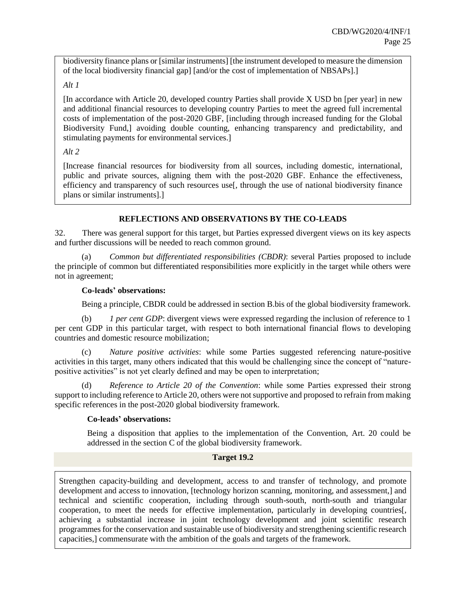biodiversity finance plans or [similar instruments] [the instrument developed to measure the dimension of the local biodiversity financial gap] [and/or the cost of implementation of NBSAPs].]

# *Alt 1*

[In accordance with Article 20, developed country Parties shall provide X USD bn [per year] in new and additional financial resources to developing country Parties to meet the agreed full incremental costs of implementation of the post-2020 GBF, [including through increased funding for the Global Biodiversity Fund,] avoiding double counting, enhancing transparency and predictability, and stimulating payments for environmental services.]

# *Alt 2*

[Increase financial resources for biodiversity from all sources, including domestic, international, public and private sources, aligning them with the post-2020 GBF. Enhance the effectiveness, efficiency and transparency of such resources use[, through the use of national biodiversity finance plans or similar instruments].]

# **REFLECTIONS AND OBSERVATIONS BY THE CO-LEADS**

32. There was general support for this target, but Parties expressed divergent views on its key aspects and further discussions will be needed to reach common ground.

(a) *Common but differentiated responsibilities (CBDR)*: several Parties proposed to include the principle of common but differentiated responsibilities more explicitly in the target while others were not in agreement;

## **Co-leads' observations:**

Being a principle, CBDR could be addressed in section B.bis of the global biodiversity framework.

(b) *1 per cent GDP*: divergent views were expressed regarding the inclusion of reference to 1 per cent GDP in this particular target, with respect to both international financial flows to developing countries and domestic resource mobilization;

(c) *Nature positive activities*: while some Parties suggested referencing nature-positive activities in this target, many others indicated that this would be challenging since the concept of "naturepositive activities" is not yet clearly defined and may be open to interpretation;

(d) *Reference to Article 20 of the Convention*: while some Parties expressed their strong support to including reference to Article 20, others were not supportive and proposed to refrain from making specific references in the post-2020 global biodiversity framework.

# **Co-leads' observations:**

Being a disposition that applies to the implementation of the Convention, Art. 20 could be addressed in the section C of the global biodiversity framework.

## **Target 19.2**

Strengthen capacity-building and development, access to and transfer of technology, and promote development and access to innovation, [technology horizon scanning, monitoring, and assessment,] and technical and scientific cooperation, including through south-south, north-south and triangular cooperation, to meet the needs for effective implementation, particularly in developing countries[, achieving a substantial increase in joint technology development and joint scientific research programmes for the conservation and sustainable use of biodiversity and strengthening scientific research capacities,] commensurate with the ambition of the goals and targets of the framework.